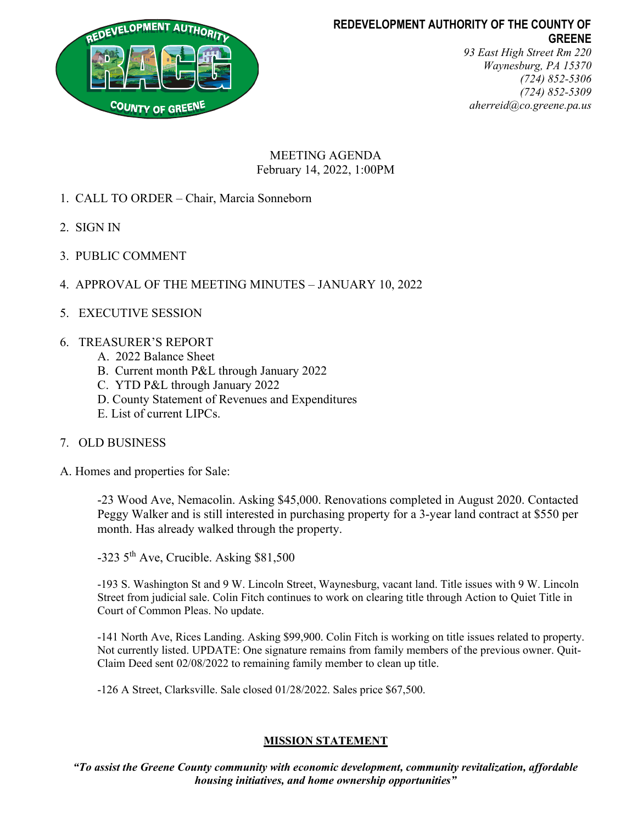

# REDEVELOPMENT AUTHORITY OF THE COUNTY OF GREENE

93 East High Street Rm 220 Waynesburg, PA 15370 (724) 852-5306 (724) 852-5309 aherreid@co.greene.pa.us

# MEETING AGENDA February 14, 2022, 1:00PM

- 1. CALL TO ORDER Chair, Marcia Sonneborn
- 2. SIGN IN
- 3. PUBLIC COMMENT
- 4. APPROVAL OF THE MEETING MINUTES JANUARY 10, 2022
- 5. EXECUTIVE SESSION
- 6. TREASURER'S REPORT
	- A. 2022 Balance Sheet
	- B. Current month P&L through January 2022
	- C. YTD P&L through January 2022
	- D. County Statement of Revenues and Expenditures
	- E. List of current LIPCs.
- 7. OLD BUSINESS
- A. Homes and properties for Sale:

-23 Wood Ave, Nemacolin. Asking \$45,000. Renovations completed in August 2020. Contacted Peggy Walker and is still interested in purchasing property for a 3-year land contract at \$550 per month. Has already walked through the property.

 $-323$  5<sup>th</sup> Ave, Crucible. Asking \$81,500

 -193 S. Washington St and 9 W. Lincoln Street, Waynesburg, vacant land. Title issues with 9 W. Lincoln Street from judicial sale. Colin Fitch continues to work on clearing title through Action to Quiet Title in Court of Common Pleas. No update.

-141 North Ave, Rices Landing. Asking \$99,900. Colin Fitch is working on title issues related to property. Not currently listed. UPDATE: One signature remains from family members of the previous owner. Quit-Claim Deed sent 02/08/2022 to remaining family member to clean up title.

-126 A Street, Clarksville. Sale closed 01/28/2022. Sales price \$67,500.

## MISSION STATEMENT

"To assist the Greene County community with economic development, community revitalization, affordable housing initiatives, and home ownership opportunities"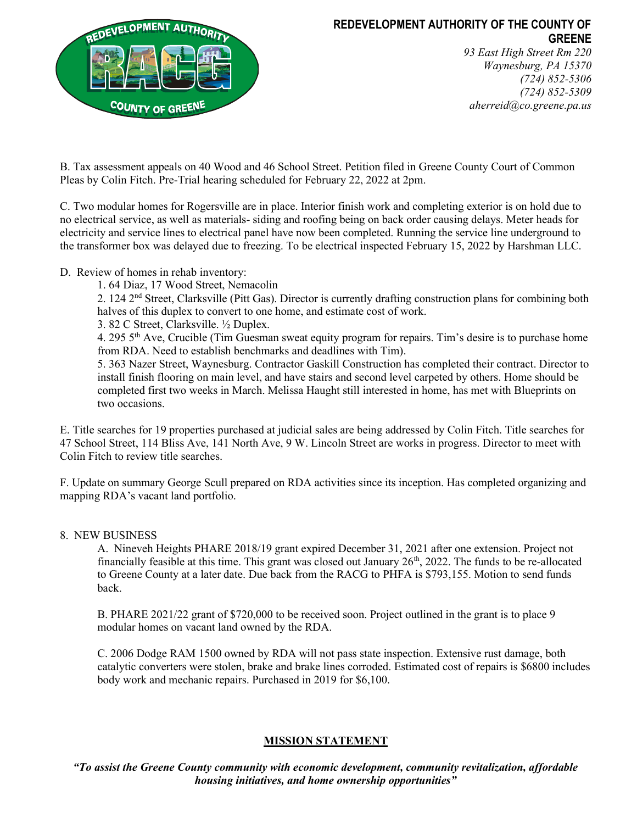

## REDEVELOPMENT AUTHORITY OF THE COUNTY OF GREENE

93 East High Street Rm 220 Waynesburg, PA 15370 (724) 852-5306 (724) 852-5309 aherreid@co.greene.pa.us

B. Tax assessment appeals on 40 Wood and 46 School Street. Petition filed in Greene County Court of Common Pleas by Colin Fitch. Pre-Trial hearing scheduled for February 22, 2022 at 2pm.

C. Two modular homes for Rogersville are in place. Interior finish work and completing exterior is on hold due to no electrical service, as well as materials- siding and roofing being on back order causing delays. Meter heads for electricity and service lines to electrical panel have now been completed. Running the service line underground to the transformer box was delayed due to freezing. To be electrical inspected February 15, 2022 by Harshman LLC.

D. Review of homes in rehab inventory:

1. 64 Diaz, 17 Wood Street, Nemacolin

2. 124 2nd Street, Clarksville (Pitt Gas). Director is currently drafting construction plans for combining both halves of this duplex to convert to one home, and estimate cost of work.

3. 82 C Street, Clarksville. ½ Duplex.

4. 295 5th Ave, Crucible (Tim Guesman sweat equity program for repairs. Tim's desire is to purchase home from RDA. Need to establish benchmarks and deadlines with Tim).

5. 363 Nazer Street, Waynesburg. Contractor Gaskill Construction has completed their contract. Director to install finish flooring on main level, and have stairs and second level carpeted by others. Home should be completed first two weeks in March. Melissa Haught still interested in home, has met with Blueprints on two occasions.

E. Title searches for 19 properties purchased at judicial sales are being addressed by Colin Fitch. Title searches for 47 School Street, 114 Bliss Ave, 141 North Ave, 9 W. Lincoln Street are works in progress. Director to meet with Colin Fitch to review title searches.

F. Update on summary George Scull prepared on RDA activities since its inception. Has completed organizing and mapping RDA's vacant land portfolio.

#### 8. NEW BUSINESS

A. Nineveh Heights PHARE 2018/19 grant expired December 31, 2021 after one extension. Project not financially feasible at this time. This grant was closed out January  $26<sup>th</sup>$ , 2022. The funds to be re-allocated to Greene County at a later date. Due back from the RACG to PHFA is \$793,155. Motion to send funds back.

B. PHARE 2021/22 grant of \$720,000 to be received soon. Project outlined in the grant is to place 9 modular homes on vacant land owned by the RDA.

C. 2006 Dodge RAM 1500 owned by RDA will not pass state inspection. Extensive rust damage, both catalytic converters were stolen, brake and brake lines corroded. Estimated cost of repairs is \$6800 includes body work and mechanic repairs. Purchased in 2019 for \$6,100.

#### MISSION STATEMENT

"To assist the Greene County community with economic development, community revitalization, affordable housing initiatives, and home ownership opportunities"